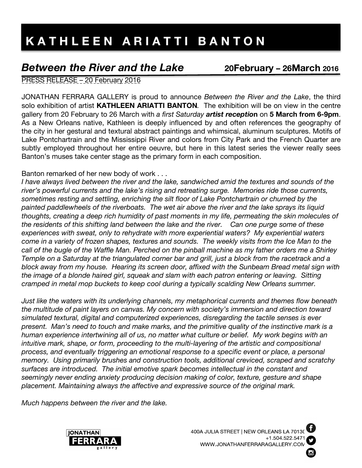## *Between the River and the Lake* **20February – 26March <sup>2016</sup>**

PRESS RELEASE – 20 February 2016

JONATHAN FERRARA GALLERY is proud to announce *Between the River and the Lake*, the third solo exhibition of artist **KATHLEEN ARIATTI BANTON***.* The exhibition will be on view in the centre gallery from 20 February to 26 March with *a first Saturday artist receptio***n** on **5 March from 6-9pm**. As a New Orleans native, Kathleen is deeply influenced by and often references the geography of the city in her gestural and textural abstract paintings and whimsical, aluminum sculptures. Motifs of Lake Pontchartrain and the Mississippi River and colors from City Park and the French Quarter are subtly employed throughout her entire oeuvre, but here in this latest series the viewer really sees Banton's muses take center stage as the primary form in each composition.

Banton remarked of her new body of work . . .

*I have always lived between the river and the lake, sandwiched amid the textures and sounds of the river's powerful currents and the lake's rising and retreating surge. Memories ride those currents, sometimes resting and settling, enriching the silt floor of Lake Pontchartrain or churned by the painted paddlewheels of the riverboats. The wet air above the river and the lake sprays its liquid thoughts, creating a deep rich humidity of past moments in my life, permeating the skin molecules of the residents of this shifting land between the lake and the river. Can one purge some of these experiences with sweat, only to rehydrate with more experiential waters? My experiential waters come in a variety of frozen shapes, textures and sounds. The weekly visits from the Ice Man to the call of the bugle of the Waffle Man. Perched on the pinball machine as my father orders me a Shirley Temple on a Saturday at the triangulated corner bar and grill, just a block from the racetrack and a block away from my house. Hearing its screen door, affixed with the Sunbeam Bread metal sign with the image of a blonde haired girl, squeak and slam with each patron entering or leaving. Sitting cramped in metal mop buckets to keep cool during a typically scalding New Orleans summer.* 

*Just like the waters with its underlying channels, my metaphorical currents and themes flow beneath the multitude of paint layers on canvas. My concern with society's immersion and direction toward simulated textural, digital and computerized experiences, disregarding the tactile senses is ever present. Man's need to touch and make marks, and the primitive quality of the instinctive mark is a human experience intertwining all of us, no matter what culture or belief. My work begins with an intuitive mark, shape, or form, proceeding to the multi-layering of the artistic and compositional process, and eventually triggering an emotional response to a specific event or place, a personal memory. Using primarily brushes and construction tools, additional creviced, scraped and scratchy surfaces are introduced. The initial emotive spark becomes intellectual in the constant and seemingly never ending anxiety producing decision making of color, texture, gesture and shape placement. Maintaining always the affective and expressive source of the original mark.* 

*Much happens between the river and the lake.*